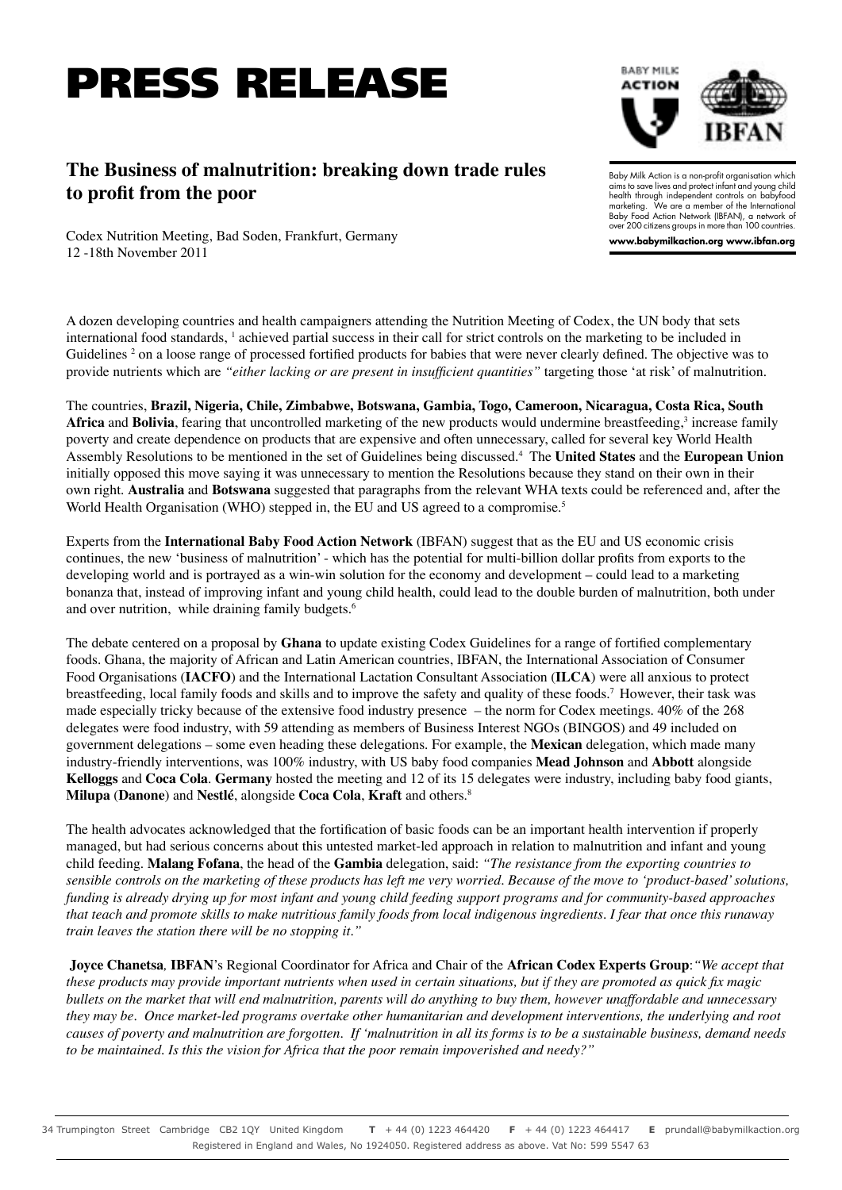## PRESS RELEASE

## **The Business of malnutrition: breaking down trade rules to profit from the poor**

Baby Milk Action is a non-profit organisation which aims to save lives and protect infant and young child health through independent controls on babyfood marketing. We are a member of the International Baby Food Action Network (IBFAN), a network of over 200 citizens groups in more than 100 countries.

**BABY MILK ACTION** 

**www.babymilkaction.org www.ibfan.org**

Codex Nutrition Meeting, Bad Soden, Frankfurt, Germany 12 -18th November 2011

A dozen developing countries and health campaigners attending the Nutrition Meeting of Codex, the UN body that sets international food standards, <sup>1</sup> achieved partial success in their call for strict controls on the marketing to be included in Guidelines <sup>2</sup> on a loose range of processed fortified products for babies that were never clearly defined. The objective was to provide nutrients which are *"either lacking or are present in insufficient quantities"* targeting those 'at risk' of malnutrition.

The countries, **Brazil, Nigeria, Chile, Zimbabwe, Botswana, Gambia, Togo, Cameroon, Nicaragua, Costa Rica, South**  Africa and Bolivia, fearing that uncontrolled marketing of the new products would undermine breastfeeding,<sup>3</sup> increase family poverty and create dependence on products that are expensive and often unnecessary, called for several key World Health Assembly Resolutions to be mentioned in the set of Guidelines being discussed.<sup>4</sup> The **United States** and the **European Union** initially opposed this move saying it was unnecessary to mention the Resolutions because they stand on their own in their own right. **Australia** and **Botswana** suggested that paragraphs from the relevant WHA texts could be referenced and, after the World Health Organisation (WHO) stepped in, the EU and US agreed to a compromise.<sup>5</sup>

Experts from the **International Baby Food Action Network** (IBFAN) suggest that as the EU and US economic crisis continues, the new 'business of malnutrition' - which has the potential for multi-billion dollar profits from exports to the developing world and is portrayed as a win-win solution for the economy and development – could lead to a marketing bonanza that, instead of improving infant and young child health, could lead to the double burden of malnutrition, both under and over nutrition, while draining family budgets.<sup>6</sup>

The debate centered on a proposal by **Ghana** to update existing Codex Guidelines for a range of fortified complementary foods. Ghana, the majority of African and Latin American countries, IBFAN, the International Association of Consumer Food Organisations (**IACFO**) and the International Lactation Consultant Association (**ILCA**) were all anxious to protect breastfeeding, local family foods and skills and to improve the safety and quality of these foods.<sup>7</sup> However, their task was made especially tricky because of the extensive food industry presence – the norm for Codex meetings. 40% of the 268 delegates were food industry, with 59 attending as members of Business Interest NGOs (BINGOS) and 49 included on government delegations – some even heading these delegations. For example, the **Mexican** delegation, which made many industry-friendly interventions, was 100% industry, with US baby food companies **Mead Johnson** and **Abbott** alongside **Kelloggs** and **Coca Cola**. **Germany** hosted the meeting and 12 of its 15 delegates were industry, including baby food giants, **Milupa** (**Danone**) and **Nestlé**, alongside **Coca Cola**, **Kraft** and others.<sup>8</sup>

The health advocates acknowledged that the fortification of basic foods can be an important health intervention if properly managed, but had serious concerns about this untested market-led approach in relation to malnutrition and infant and young child feeding. **Malang Fofana**, the head of the **Gambia** delegation, said: *"The resistance from the exporting countries to sensible controls on the marketing of these products has left me very worried. Because of the move to 'product-based' solutions, funding is already drying up for most infant and young child feeding support programs and for community-based approaches that teach and promote skills to make nutritious family foods from local indigenous ingredients. I fear that once this runaway train leaves the station there will be no stopping it."* 

**Joyce Chanetsa***,* **IBFAN**'s Regional Coordinator for Africa and Chair of the **African Codex Experts Group**:*"We accept that these products may provide important nutrients when used in certain situations, but if they are promoted as quick fix magic bullets on the market that will end malnutrition, parents will do anything to buy them, however unaffordable and unnecessary they may be. Once market-led programs overtake other humanitarian and development interventions, the underlying and root causes of poverty and malnutrition are forgotten. If 'malnutrition in all its forms is to be a sustainable business, demand needs to be maintained. Is this the vision for Africa that the poor remain impoverished and needy?"*

34 Trumpington Street Cambridge CB2 1QY United Kingdom **T** + 44 (0) 1223 464420 **F** + 44 (0) 1223 464417 **E** prundall@babymilkaction.org Registered in England and Wales, No 1924050. Registered address as above. Vat No: 599 5547 63